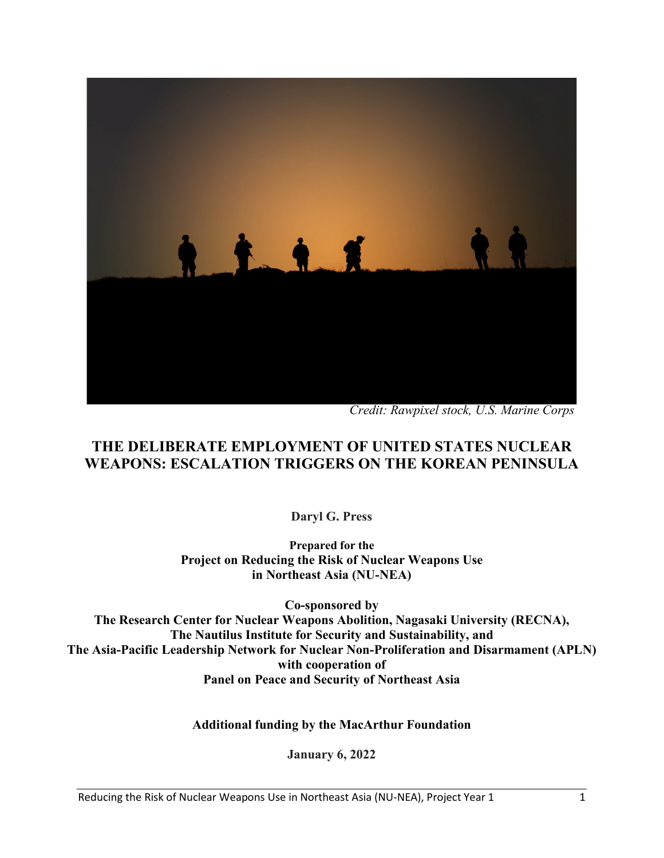

*Credit: Rawpixel stock, U.S. Marine Corps*

# **THE DELIBERATE EMPLOYMENT OF UNITED STATES NUCLEAR WEAPONS: ESCALATION TRIGGERS ON THE KOREAN PENINSULA**

**Daryl G. Press**

**Prepared for the Project on Reducing the Risk of Nuclear Weapons Use in Northeast Asia (NU-NEA)**

**Co-sponsored by The Research Center for Nuclear Weapons Abolition, Nagasaki University (RECNA), The Nautilus Institute for Security and Sustainability, and The Asia-Pacific Leadership Network for Nuclear Non-Proliferation and Disarmament (APLN) with cooperation of Panel on Peace and Security of Northeast Asia**

**Additional funding by the MacArthur Foundation**

**January 6, 2022**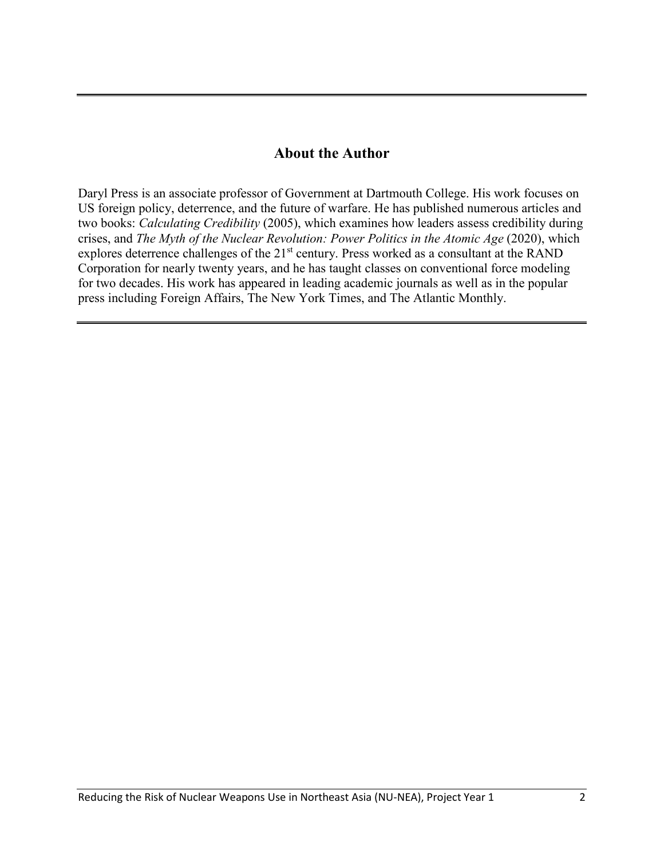#### **About the Author**

Daryl Press is an associate professor of Government at Dartmouth College. His work focuses on US foreign policy, deterrence, and the future of warfare. He has published numerous articles and two books: *Calculating Credibility* (2005), which examines how leaders assess credibility during crises, and *The Myth of the Nuclear Revolution: Power Politics in the Atomic Age* (2020), which explores deterrence challenges of the 21<sup>st</sup> century. Press worked as a consultant at the RAND Corporation for nearly twenty years, and he has taught classes on conventional force modeling for two decades. His work has appeared in leading academic journals as well as in the popular press including Foreign Affairs, The New York Times, and The Atlantic Monthly.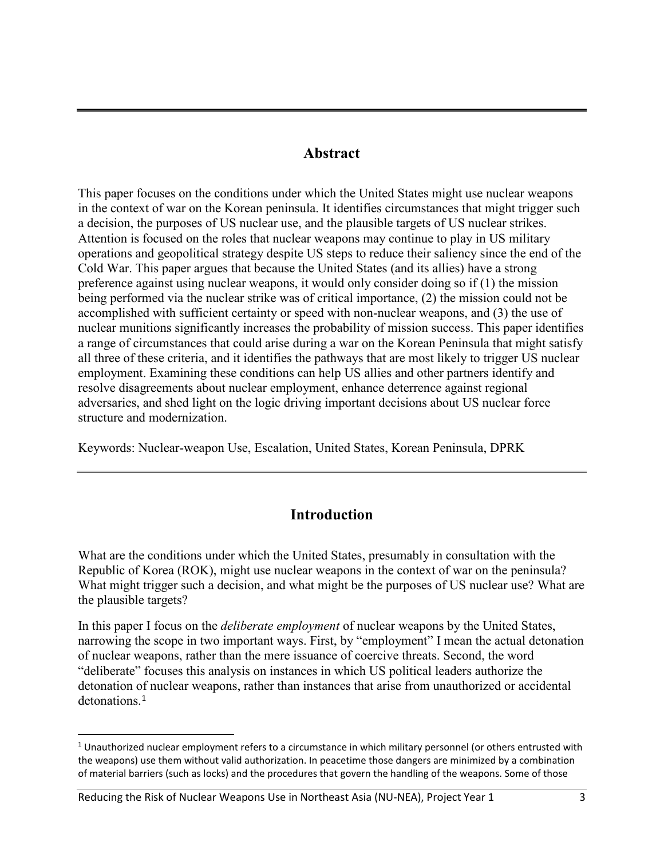### **Abstract**

This paper focuses on the conditions under which the United States might use nuclear weapons in the context of war on the Korean peninsula. It identifies circumstances that might trigger such a decision, the purposes of US nuclear use, and the plausible targets of US nuclear strikes. Attention is focused on the roles that nuclear weapons may continue to play in US military operations and geopolitical strategy despite US steps to reduce their saliency since the end of the Cold War. This paper argues that because the United States (and its allies) have a strong preference against using nuclear weapons, it would only consider doing so if (1) the mission being performed via the nuclear strike was of critical importance, (2) the mission could not be accomplished with sufficient certainty or speed with non-nuclear weapons, and (3) the use of nuclear munitions significantly increases the probability of mission success. This paper identifies a range of circumstances that could arise during a war on the Korean Peninsula that might satisfy all three of these criteria, and it identifies the pathways that are most likely to trigger US nuclear employment. Examining these conditions can help US allies and other partners identify and resolve disagreements about nuclear employment, enhance deterrence against regional adversaries, and shed light on the logic driving important decisions about US nuclear force structure and modernization.

Keywords: Nuclear-weapon Use, Escalation, United States, Korean Peninsula, DPRK

# **Introduction**

What are the conditions under which the United States, presumably in consultation with the Republic of Korea (ROK), might use nuclear weapons in the context of war on the peninsula? What might trigger such a decision, and what might be the purposes of US nuclear use? What are the plausible targets?

In this paper I focus on the *deliberate employment* of nuclear weapons by the United States, narrowing the scope in two important ways. First, by "employment" I mean the actual detonation of nuclear weapons, rather than the mere issuance of coercive threats. Second, the word "deliberate" focuses this analysis on instances in which US political leaders authorize the detonation of nuclear weapons, rather than instances that arise from unauthorized or accidental detonations.<sup>[1](#page-2-0)</sup>

Reducing the Risk of Nuclear Weapons Use in Northeast Asia (NU-NEA), Project Year 1 3

<span id="page-2-0"></span> $1$  Unauthorized nuclear employment refers to a circumstance in which military personnel (or others entrusted with the weapons) use them without valid authorization. In peacetime those dangers are minimized by a combination of material barriers (such as locks) and the procedures that govern the handling of the weapons. Some of those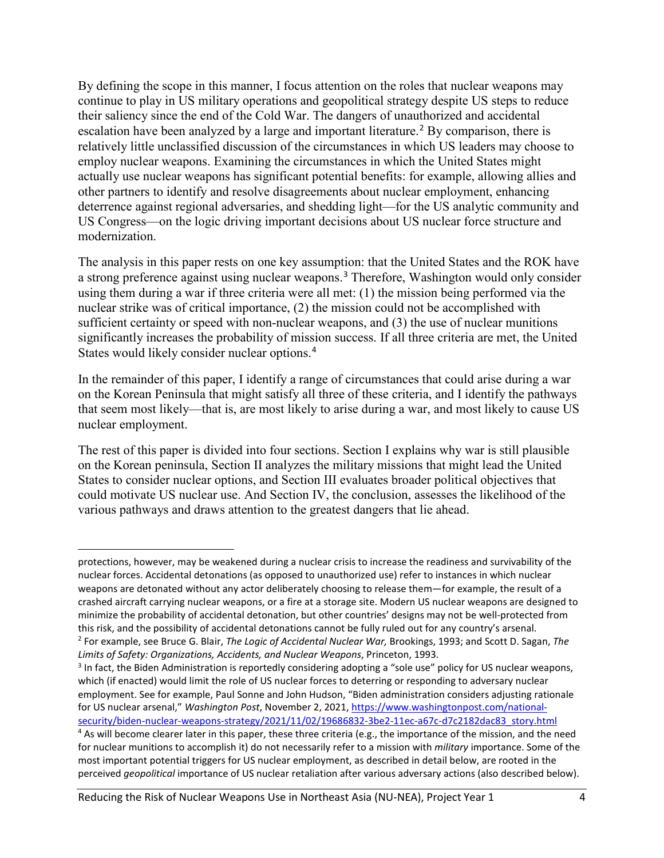By defining the scope in this manner, I focus attention on the roles that nuclear weapons may continue to play in US military operations and geopolitical strategy despite US steps to reduce their saliency since the end of the Cold War. The dangers of unauthorized and accidental escalation have been analyzed by a large and important literature.<sup>[2](#page-3-0)</sup> By comparison, there is relatively little unclassified discussion of the circumstances in which US leaders may choose to employ nuclear weapons. Examining the circumstances in which the United States might actually use nuclear weapons has significant potential benefits: for example, allowing allies and other partners to identify and resolve disagreements about nuclear employment, enhancing deterrence against regional adversaries, and shedding light—for the US analytic community and US Congress—on the logic driving important decisions about US nuclear force structure and modernization.

The analysis in this paper rests on one key assumption: that the United States and the ROK have a strong preference against using nuclear weapons.[3](#page-3-1) Therefore, Washington would only consider using them during a war if three criteria were all met: (1) the mission being performed via the nuclear strike was of critical importance, (2) the mission could not be accomplished with sufficient certainty or speed with non-nuclear weapons, and (3) the use of nuclear munitions significantly increases the probability of mission success. If all three criteria are met, the United States would likely consider nuclear options.[4](#page-3-2)

In the remainder of this paper, I identify a range of circumstances that could arise during a war on the Korean Peninsula that might satisfy all three of these criteria, and I identify the pathways that seem most likely—that is, are most likely to arise during a war, and most likely to cause US nuclear employment.

The rest of this paper is divided into four sections. Section I explains why war is still plausible on the Korean peninsula, Section II analyzes the military missions that might lead the United States to consider nuclear options, and Section III evaluates broader political objectives that could motivate US nuclear use. And Section IV, the conclusion, assesses the likelihood of the various pathways and draws attention to the greatest dangers that lie ahead.

protections, however, may be weakened during a nuclear crisis to increase the readiness and survivability of the nuclear forces. Accidental detonations (as opposed to unauthorized use) refer to instances in which nuclear weapons are detonated without any actor deliberately choosing to release them—for example, the result of a crashed aircraft carrying nuclear weapons, or a fire at a storage site. Modern US nuclear weapons are designed to minimize the probability of accidental detonation, but other countries' designs may not be well-protected from this risk, and the possibility of accidental detonations cannot be fully ruled out for any country's arsenal.<br><sup>2</sup> For example, see Bruce G. Blair, *The Logic of Accidental Nuclear War*, Brookings, 1993; and Scott D. Sagan, *Limits of Safety: Organizations, Accidents, and Nuclear Weapons*, Princeton, 1993.

<span id="page-3-1"></span><span id="page-3-0"></span><sup>&</sup>lt;sup>3</sup> In fact, the Biden Administration is reportedly considering adopting a "sole use" policy for US nuclear weapons, which (if enacted) would limit the role of US nuclear forces to deterring or responding to adversary nuclear employment. See for example, Paul Sonne and John Hudson, "Biden administration considers adjusting rationale for US nuclear arsenal," *Washington Post*, November 2, 2021, [https://www.washingtonpost.com/national](https://www.washingtonpost.com/national-security/biden-nuclear-weapons-strategy/2021/11/02/19686832-3be2-11ec-a67c-d7c2182dac83_story.html)[security/biden-nuclear-weapons-strategy/2021/11/02/19686832-3be2-11ec-a67c-d7c2182dac83\\_story.html](https://www.washingtonpost.com/national-security/biden-nuclear-weapons-strategy/2021/11/02/19686832-3be2-11ec-a67c-d7c2182dac83_story.html)

<span id="page-3-2"></span> $4$  As will become clearer later in this paper, these three criteria (e.g., the importance of the mission, and the need for nuclear munitions to accomplish it) do not necessarily refer to a mission with *military* importance. Some of the most important potential triggers for US nuclear employment, as described in detail below, are rooted in the perceived *geopolitical* importance of US nuclear retaliation after various adversary actions (also described below).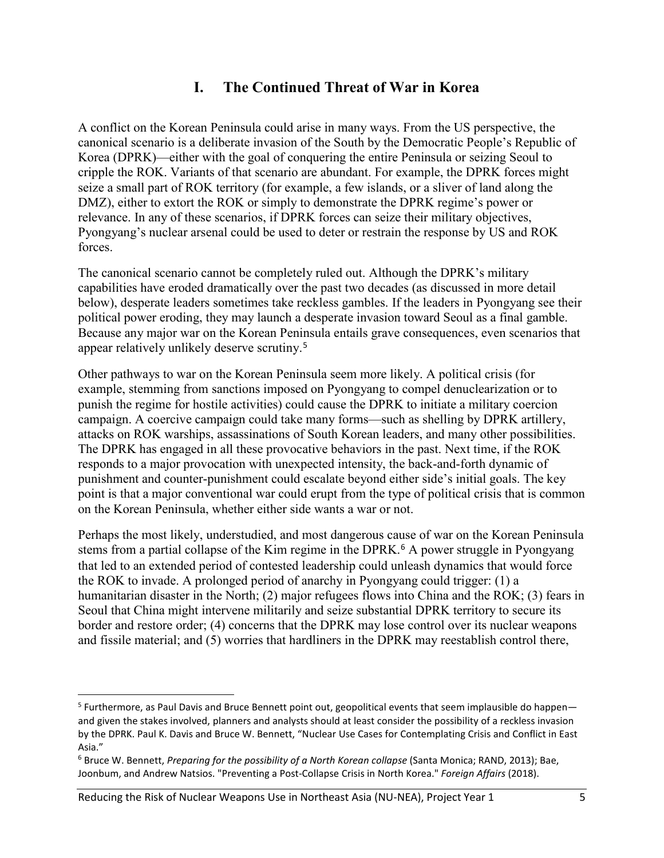# **I. The Continued Threat of War in Korea**

A conflict on the Korean Peninsula could arise in many ways. From the US perspective, the canonical scenario is a deliberate invasion of the South by the Democratic People's Republic of Korea (DPRK)—either with the goal of conquering the entire Peninsula or seizing Seoul to cripple the ROK. Variants of that scenario are abundant. For example, the DPRK forces might seize a small part of ROK territory (for example, a few islands, or a sliver of land along the DMZ), either to extort the ROK or simply to demonstrate the DPRK regime's power or relevance. In any of these scenarios, if DPRK forces can seize their military objectives, Pyongyang's nuclear arsenal could be used to deter or restrain the response by US and ROK forces.

The canonical scenario cannot be completely ruled out. Although the DPRK's military capabilities have eroded dramatically over the past two decades (as discussed in more detail below), desperate leaders sometimes take reckless gambles. If the leaders in Pyongyang see their political power eroding, they may launch a desperate invasion toward Seoul as a final gamble. Because any major war on the Korean Peninsula entails grave consequences, even scenarios that appear relatively unlikely deserve scrutiny.[5](#page-4-0)

Other pathways to war on the Korean Peninsula seem more likely. A political crisis (for example, stemming from sanctions imposed on Pyongyang to compel denuclearization or to punish the regime for hostile activities) could cause the DPRK to initiate a military coercion campaign. A coercive campaign could take many forms—such as shelling by DPRK artillery, attacks on ROK warships, assassinations of South Korean leaders, and many other possibilities. The DPRK has engaged in all these provocative behaviors in the past. Next time, if the ROK responds to a major provocation with unexpected intensity, the back-and-forth dynamic of punishment and counter-punishment could escalate beyond either side's initial goals. The key point is that a major conventional war could erupt from the type of political crisis that is common on the Korean Peninsula, whether either side wants a war or not.

Perhaps the most likely, understudied, and most dangerous cause of war on the Korean Peninsula stems from a partial collapse of the Kim regime in the DPRK. [6](#page-4-1) A power struggle in Pyongyang that led to an extended period of contested leadership could unleash dynamics that would force the ROK to invade. A prolonged period of anarchy in Pyongyang could trigger: (1) a humanitarian disaster in the North; (2) major refugees flows into China and the ROK; (3) fears in Seoul that China might intervene militarily and seize substantial DPRK territory to secure its border and restore order; (4) concerns that the DPRK may lose control over its nuclear weapons and fissile material; and (5) worries that hardliners in the DPRK may reestablish control there,

Reducing the Risk of Nuclear Weapons Use in Northeast Asia (NU-NEA), Project Year 1 5

<span id="page-4-0"></span><sup>&</sup>lt;sup>5</sup> Furthermore, as Paul Davis and Bruce Bennett point out, geopolitical events that seem implausible do happen and given the stakes involved, planners and analysts should at least consider the possibility of a reckless invasion by the DPRK. Paul K. Davis and Bruce W. Bennett, "Nuclear Use Cases for Contemplating Crisis and Conflict in East Asia."

<span id="page-4-1"></span><sup>6</sup> Bruce W. Bennett, *Preparing for the possibility of a North Korean collapse* (Santa Monica; RAND, 2013); Bae, Joonbum, and Andrew Natsios. "Preventing a Post-Collapse Crisis in North Korea." *Foreign Affairs* (2018).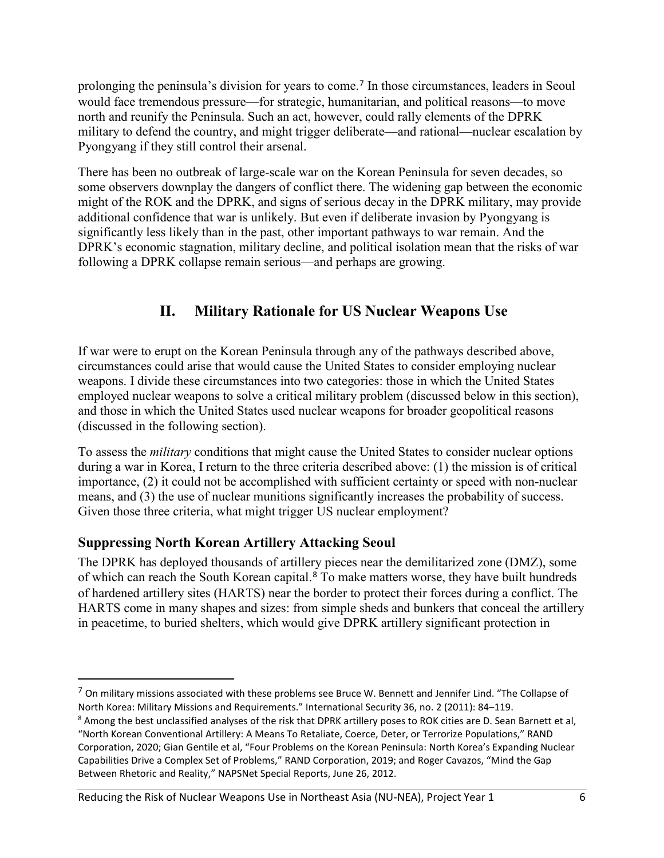prolonging the peninsula's division for years to come.[7](#page-5-0) In those circumstances, leaders in Seoul would face tremendous pressure—for strategic, humanitarian, and political reasons—to move north and reunify the Peninsula. Such an act, however, could rally elements of the DPRK military to defend the country, and might trigger deliberate—and rational—nuclear escalation by Pyongyang if they still control their arsenal.

There has been no outbreak of large-scale war on the Korean Peninsula for seven decades, so some observers downplay the dangers of conflict there. The widening gap between the economic might of the ROK and the DPRK, and signs of serious decay in the DPRK military, may provide additional confidence that war is unlikely. But even if deliberate invasion by Pyongyang is significantly less likely than in the past, other important pathways to war remain. And the DPRK's economic stagnation, military decline, and political isolation mean that the risks of war following a DPRK collapse remain serious—and perhaps are growing.

# **II. Military Rationale for US Nuclear Weapons Use**

If war were to erupt on the Korean Peninsula through any of the pathways described above, circumstances could arise that would cause the United States to consider employing nuclear weapons. I divide these circumstances into two categories: those in which the United States employed nuclear weapons to solve a critical military problem (discussed below in this section), and those in which the United States used nuclear weapons for broader geopolitical reasons (discussed in the following section).

To assess the *military* conditions that might cause the United States to consider nuclear options during a war in Korea, I return to the three criteria described above: (1) the mission is of critical importance, (2) it could not be accomplished with sufficient certainty or speed with non-nuclear means, and (3) the use of nuclear munitions significantly increases the probability of success. Given those three criteria, what might trigger US nuclear employment?

#### **Suppressing North Korean Artillery Attacking Seoul**

 $\overline{a}$ 

The DPRK has deployed thousands of artillery pieces near the demilitarized zone (DMZ), some of which can reach the South Korean capital.[8](#page-5-1) To make matters worse, they have built hundreds of hardened artillery sites (HARTS) near the border to protect their forces during a conflict. The HARTS come in many shapes and sizes: from simple sheds and bunkers that conceal the artillery in peacetime, to buried shelters, which would give DPRK artillery significant protection in

Reducing the Risk of Nuclear Weapons Use in Northeast Asia (NU-NEA), Project Year 1 6

<span id="page-5-0"></span><sup>&</sup>lt;sup>7</sup> On military missions associated with these problems see Bruce W. Bennett and Jennifer Lind. "The Collapse of North Korea: Military Missions and Requirements." International Security 36, no. 2 (2011): 84–119.

<span id="page-5-1"></span><sup>&</sup>lt;sup>8</sup> Among the best unclassified analyses of the risk that DPRK artillery poses to ROK cities are D. Sean Barnett et al, "North Korean Conventional Artillery: A Means To Retaliate, Coerce, Deter, or Terrorize Populations," RAND Corporation, 2020; Gian Gentile et al, "Four Problems on the Korean Peninsula: North Korea's Expanding Nuclear Capabilities Drive a Complex Set of Problems," RAND Corporation, 2019; and Roger Cavazos, "Mind the Gap Between Rhetoric and Reality," NAPSNet Special Reports, June 26, 2012.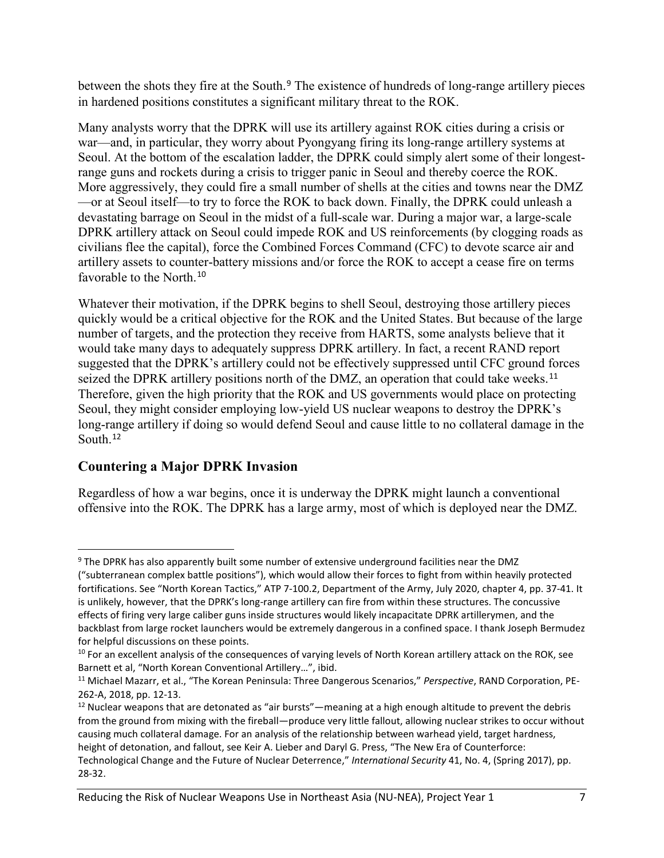between the shots they fire at the South.<sup>[9](#page-6-0)</sup> The existence of hundreds of long-range artillery pieces in hardened positions constitutes a significant military threat to the ROK.

Many analysts worry that the DPRK will use its artillery against ROK cities during a crisis or war—and, in particular, they worry about Pyongyang firing its long-range artillery systems at Seoul. At the bottom of the escalation ladder, the DPRK could simply alert some of their longestrange guns and rockets during a crisis to trigger panic in Seoul and thereby coerce the ROK. More aggressively, they could fire a small number of shells at the cities and towns near the DMZ —or at Seoul itself—to try to force the ROK to back down. Finally, the DPRK could unleash a devastating barrage on Seoul in the midst of a full-scale war. During a major war, a large-scale DPRK artillery attack on Seoul could impede ROK and US reinforcements (by clogging roads as civilians flee the capital), force the Combined Forces Command (CFC) to devote scarce air and artillery assets to counter-battery missions and/or force the ROK to accept a cease fire on terms favorable to the North.<sup>[10](#page-6-1)</sup>

Whatever their motivation, if the DPRK begins to shell Seoul, destroying those artillery pieces quickly would be a critical objective for the ROK and the United States. But because of the large number of targets, and the protection they receive from HARTS, some analysts believe that it would take many days to adequately suppress DPRK artillery. In fact, a recent RAND report suggested that the DPRK's artillery could not be effectively suppressed until CFC ground forces seized the DPRK artillery positions north of the DMZ, an operation that could take weeks.<sup>[11](#page-6-2)</sup> Therefore, given the high priority that the ROK and US governments would place on protecting Seoul, they might consider employing low-yield US nuclear weapons to destroy the DPRK's long-range artillery if doing so would defend Seoul and cause little to no collateral damage in the South.<sup>[12](#page-6-3)</sup>

# **Countering a Major DPRK Invasion**

Regardless of how a war begins, once it is underway the DPRK might launch a conventional offensive into the ROK. The DPRK has a large army, most of which is deployed near the DMZ.

<span id="page-6-0"></span> $\overline{a}$ <sup>9</sup> The DPRK has also apparently built some number of extensive underground facilities near the DMZ

<sup>(&</sup>quot;subterranean complex battle positions"), which would allow their forces to fight from within heavily protected fortifications. See "North Korean Tactics," ATP 7-100.2, Department of the Army, July 2020, chapter 4, pp. 37-41. It is unlikely, however, that the DPRK's long-range artillery can fire from within these structures. The concussive effects of firing very large caliber guns inside structures would likely incapacitate DPRK artillerymen, and the backblast from large rocket launchers would be extremely dangerous in a confined space. I thank Joseph Bermudez for helpful discussions on these points.

<span id="page-6-1"></span><sup>&</sup>lt;sup>10</sup> For an excellent analysis of the consequences of varying levels of North Korean artillery attack on the ROK, see Barnett et al, "North Korean Conventional Artillery…", ibid.

<span id="page-6-2"></span><sup>11</sup> Michael Mazarr, et al., "The Korean Peninsula: Three Dangerous Scenarios," *Perspective*, RAND Corporation, PE-262-A, 2018, pp. 12-13.

<span id="page-6-3"></span> $12$  Nuclear weapons that are detonated as "air bursts"—meaning at a high enough altitude to prevent the debris from the ground from mixing with the fireball—produce very little fallout, allowing nuclear strikes to occur without causing much collateral damage. For an analysis of the relationship between warhead yield, target hardness, height of detonation, and fallout, see Keir A. Lieber and Daryl G. Press, "The New Era of Counterforce: Technological Change and the Future of Nuclear Deterrence," *International Security* 41, No. 4, (Spring 2017), pp. 28-32.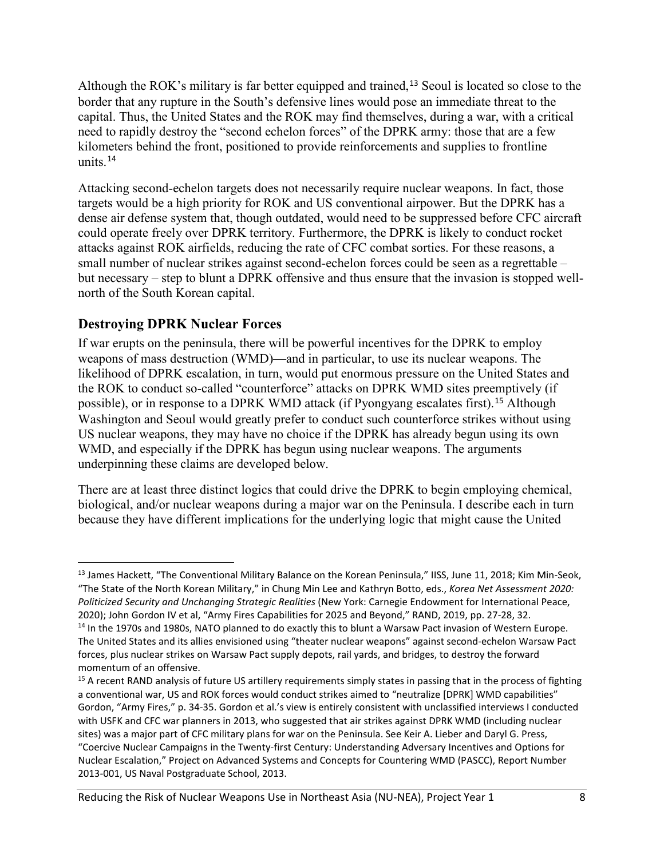Although the ROK's military is far better equipped and trained,<sup>[13](#page-7-0)</sup> Seoul is located so close to the border that any rupture in the South's defensive lines would pose an immediate threat to the capital. Thus, the United States and the ROK may find themselves, during a war, with a critical need to rapidly destroy the "second echelon forces" of the DPRK army: those that are a few kilometers behind the front, positioned to provide reinforcements and supplies to frontline units.[14](#page-7-1)

Attacking second-echelon targets does not necessarily require nuclear weapons. In fact, those targets would be a high priority for ROK and US conventional airpower. But the DPRK has a dense air defense system that, though outdated, would need to be suppressed before CFC aircraft could operate freely over DPRK territory. Furthermore, the DPRK is likely to conduct rocket attacks against ROK airfields, reducing the rate of CFC combat sorties. For these reasons, a small number of nuclear strikes against second-echelon forces could be seen as a regrettable – but necessary – step to blunt a DPRK offensive and thus ensure that the invasion is stopped wellnorth of the South Korean capital.

# **Destroying DPRK Nuclear Forces**

 $\overline{a}$ 

If war erupts on the peninsula, there will be powerful incentives for the DPRK to employ weapons of mass destruction (WMD)—and in particular, to use its nuclear weapons. The likelihood of DPRK escalation, in turn, would put enormous pressure on the United States and the ROK to conduct so-called "counterforce" attacks on DPRK WMD sites preemptively (if possible), or in response to a DPRK WMD attack (if Pyongyang escalates first).<sup>[15](#page-7-2)</sup> Although Washington and Seoul would greatly prefer to conduct such counterforce strikes without using US nuclear weapons, they may have no choice if the DPRK has already begun using its own WMD, and especially if the DPRK has begun using nuclear weapons. The arguments underpinning these claims are developed below.

There are at least three distinct logics that could drive the DPRK to begin employing chemical, biological, and/or nuclear weapons during a major war on the Peninsula. I describe each in turn because they have different implications for the underlying logic that might cause the United

<span id="page-7-1"></span><span id="page-7-0"></span><sup>&</sup>lt;sup>13</sup> James Hackett, "The Conventional Military Balance on the Korean Peninsula," IISS, June 11, 2018; Kim Min-Seok, "The State of the North Korean Military," in Chung Min Lee and Kathryn Botto, eds., *Korea Net Assessment 2020: Politicized Security and Unchanging Strategic Realities* (New York: Carnegie Endowment for International Peace, 2020); John Gordon IV et al, "Army Fires Capabilities for 2025 and Beyond," RAND, 2019, pp. 27-28, 32. <sup>14</sup> In the 1970s and 1980s, NATO planned to do exactly this to blunt a Warsaw Pact invasion of Western Europe. The United States and its allies envisioned using "theater nuclear weapons" against second-echelon Warsaw Pact forces, plus nuclear strikes on Warsaw Pact supply depots, rail yards, and bridges, to destroy the forward momentum of an offensive.

<span id="page-7-2"></span><sup>&</sup>lt;sup>15</sup> A recent RAND analysis of future US artillery requirements simply states in passing that in the process of fighting a conventional war, US and ROK forces would conduct strikes aimed to "neutralize [DPRK] WMD capabilities" Gordon, "Army Fires," p. 34-35. Gordon et al.'s view is entirely consistent with unclassified interviews I conducted with USFK and CFC war planners in 2013, who suggested that air strikes against DPRK WMD (including nuclear sites) was a major part of CFC military plans for war on the Peninsula. See Keir A. Lieber and Daryl G. Press, "Coercive Nuclear Campaigns in the Twenty-first Century: Understanding Adversary Incentives and Options for Nuclear Escalation," Project on Advanced Systems and Concepts for Countering WMD (PASCC), Report Number 2013-001, US Naval Postgraduate School, 2013.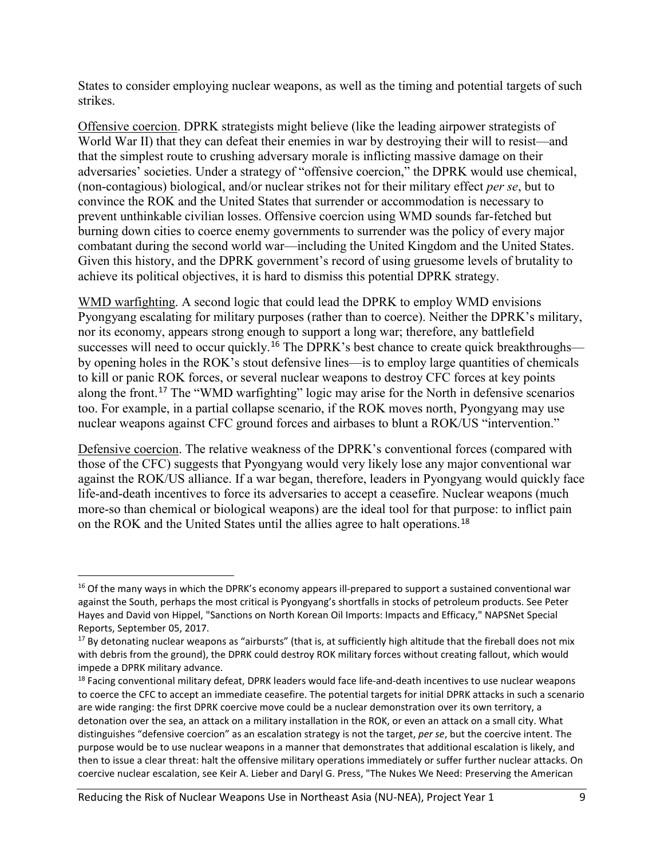States to consider employing nuclear weapons, as well as the timing and potential targets of such strikes.

Offensive coercion. DPRK strategists might believe (like the leading airpower strategists of World War II) that they can defeat their enemies in war by destroying their will to resist—and that the simplest route to crushing adversary morale is inflicting massive damage on their adversaries' societies. Under a strategy of "offensive coercion," the DPRK would use chemical, (non-contagious) biological, and/or nuclear strikes not for their military effect *per se*, but to convince the ROK and the United States that surrender or accommodation is necessary to prevent unthinkable civilian losses. Offensive coercion using WMD sounds far-fetched but burning down cities to coerce enemy governments to surrender was the policy of every major combatant during the second world war—including the United Kingdom and the United States. Given this history, and the DPRK government's record of using gruesome levels of brutality to achieve its political objectives, it is hard to dismiss this potential DPRK strategy.

WMD warfighting. A second logic that could lead the DPRK to employ WMD envisions Pyongyang escalating for military purposes (rather than to coerce). Neither the DPRK's military, nor its economy, appears strong enough to support a long war; therefore, any battlefield successes will need to occur quickly.<sup>[16](#page-8-0)</sup> The DPRK's best chance to create quick breakthroughs by opening holes in the ROK's stout defensive lines—is to employ large quantities of chemicals to kill or panic ROK forces, or several nuclear weapons to destroy CFC forces at key points along the front.<sup>[17](#page-8-1)</sup> The "WMD warfighting" logic may arise for the North in defensive scenarios too. For example, in a partial collapse scenario, if the ROK moves north, Pyongyang may use nuclear weapons against CFC ground forces and airbases to blunt a ROK/US "intervention."

Defensive coercion. The relative weakness of the DPRK's conventional forces (compared with those of the CFC) suggests that Pyongyang would very likely lose any major conventional war against the ROK/US alliance. If a war began, therefore, leaders in Pyongyang would quickly face life-and-death incentives to force its adversaries to accept a ceasefire. Nuclear weapons (much more-so than chemical or biological weapons) are the ideal tool for that purpose: to inflict pain on the ROK and the United States until the allies agree to halt operations.[18](#page-8-2)

<span id="page-8-0"></span><sup>&</sup>lt;sup>16</sup> Of the many ways in which the DPRK's economy appears ill-prepared to support a sustained conventional war against the South, perhaps the most critical is Pyongyang's shortfalls in stocks of petroleum products. See Peter Hayes and David von Hippel, "Sanctions on North Korean Oil Imports: Impacts and Efficacy," NAPSNet Special Reports, September 05, 2017.

<span id="page-8-1"></span> $17$  By detonating nuclear weapons as "airbursts" (that is, at sufficiently high altitude that the fireball does not mix with debris from the ground), the DPRK could destroy ROK military forces without creating fallout, which would impede a DPRK military advance.

<span id="page-8-2"></span><sup>&</sup>lt;sup>18</sup> Facing conventional military defeat, DPRK leaders would face life-and-death incentives to use nuclear weapons to coerce the CFC to accept an immediate ceasefire. The potential targets for initial DPRK attacks in such a scenario are wide ranging: the first DPRK coercive move could be a nuclear demonstration over its own territory, a detonation over the sea, an attack on a military installation in the ROK, or even an attack on a small city. What distinguishes "defensive coercion" as an escalation strategy is not the target, *per se*, but the coercive intent. The purpose would be to use nuclear weapons in a manner that demonstrates that additional escalation is likely, and then to issue a clear threat: halt the offensive military operations immediately or suffer further nuclear attacks. On coercive nuclear escalation, see Keir A. Lieber and Daryl G. Press, "The Nukes We Need: Preserving the American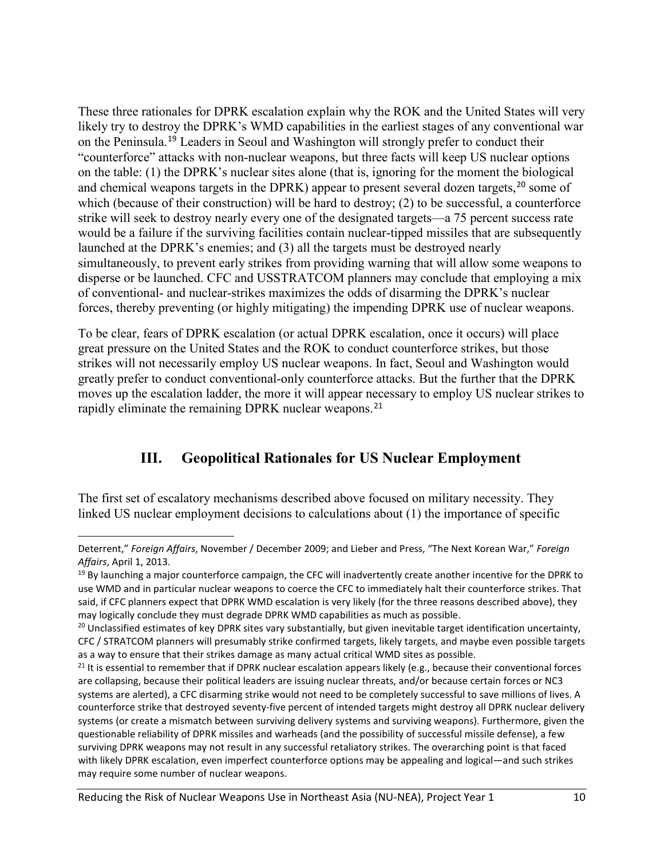These three rationales for DPRK escalation explain why the ROK and the United States will very likely try to destroy the DPRK's WMD capabilities in the earliest stages of any conventional war on the Peninsula.[19](#page-9-0) Leaders in Seoul and Washington will strongly prefer to conduct their "counterforce" attacks with non-nuclear weapons, but three facts will keep US nuclear options on the table: (1) the DPRK's nuclear sites alone (that is, ignoring for the moment the biological and chemical weapons targets in the DPRK) appear to present several dozen targets,<sup>[20](#page-9-1)</sup> some of which (because of their construction) will be hard to destroy; (2) to be successful, a counterforce strike will seek to destroy nearly every one of the designated targets—a 75 percent success rate would be a failure if the surviving facilities contain nuclear-tipped missiles that are subsequently launched at the DPRK's enemies; and (3) all the targets must be destroyed nearly simultaneously, to prevent early strikes from providing warning that will allow some weapons to disperse or be launched. CFC and USSTRATCOM planners may conclude that employing a mix of conventional- and nuclear-strikes maximizes the odds of disarming the DPRK's nuclear forces, thereby preventing (or highly mitigating) the impending DPRK use of nuclear weapons.

To be clear, fears of DPRK escalation (or actual DPRK escalation, once it occurs) will place great pressure on the United States and the ROK to conduct counterforce strikes, but those strikes will not necessarily employ US nuclear weapons. In fact, Seoul and Washington would greatly prefer to conduct conventional-only counterforce attacks. But the further that the DPRK moves up the escalation ladder, the more it will appear necessary to employ US nuclear strikes to rapidly eliminate the remaining DPRK nuclear weapons.<sup>[21](#page-9-2)</sup>

# **III. Geopolitical Rationales for US Nuclear Employment**

The first set of escalatory mechanisms described above focused on military necessity. They linked US nuclear employment decisions to calculations about (1) the importance of specific

Deterrent," *Foreign Affairs*, November / December 2009; and Lieber and Press, "The Next Korean War," *Foreign Affairs*, April 1, 2013.

<span id="page-9-0"></span> $19$  By launching a major counterforce campaign, the CFC will inadvertently create another incentive for the DPRK to use WMD and in particular nuclear weapons to coerce the CFC to immediately halt their counterforce strikes. That said, if CFC planners expect that DPRK WMD escalation is very likely (for the three reasons described above), they may logically conclude they must degrade DPRK WMD capabilities as much as possible.

<span id="page-9-1"></span><sup>&</sup>lt;sup>20</sup> Unclassified estimates of key DPRK sites vary substantially, but given inevitable target identification uncertainty, CFC / STRATCOM planners will presumably strike confirmed targets, likely targets, and maybe even possible targets as a way to ensure that their strikes damage as many actual critical WMD sites as possible.

<span id="page-9-2"></span> $21$  It is essential to remember that if DPRK nuclear escalation appears likely (e.g., because their conventional forces are collapsing, because their political leaders are issuing nuclear threats, and/or because certain forces or NC3 systems are alerted), a CFC disarming strike would not need to be completely successful to save millions of lives. A counterforce strike that destroyed seventy-five percent of intended targets might destroy all DPRK nuclear delivery systems (or create a mismatch between surviving delivery systems and surviving weapons). Furthermore, given the questionable reliability of DPRK missiles and warheads (and the possibility of successful missile defense), a few surviving DPRK weapons may not result in any successful retaliatory strikes. The overarching point is that faced with likely DPRK escalation, even imperfect counterforce options may be appealing and logical—and such strikes may require some number of nuclear weapons.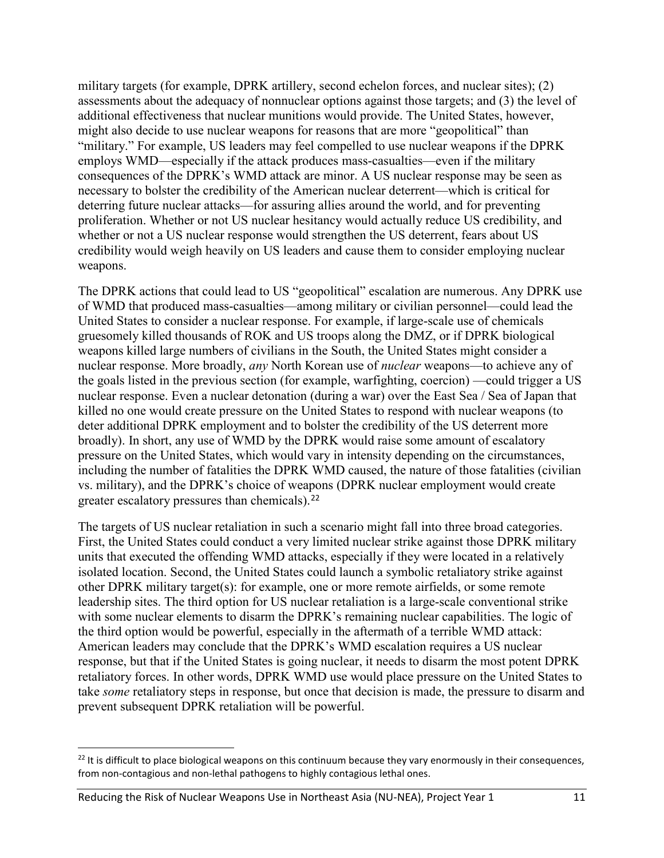military targets (for example, DPRK artillery, second echelon forces, and nuclear sites); (2) assessments about the adequacy of nonnuclear options against those targets; and (3) the level of additional effectiveness that nuclear munitions would provide. The United States, however, might also decide to use nuclear weapons for reasons that are more "geopolitical" than "military." For example, US leaders may feel compelled to use nuclear weapons if the DPRK employs WMD—especially if the attack produces mass-casualties—even if the military consequences of the DPRK's WMD attack are minor. A US nuclear response may be seen as necessary to bolster the credibility of the American nuclear deterrent—which is critical for deterring future nuclear attacks—for assuring allies around the world, and for preventing proliferation. Whether or not US nuclear hesitancy would actually reduce US credibility, and whether or not a US nuclear response would strengthen the US deterrent, fears about US credibility would weigh heavily on US leaders and cause them to consider employing nuclear weapons.

The DPRK actions that could lead to US "geopolitical" escalation are numerous. Any DPRK use of WMD that produced mass-casualties—among military or civilian personnel—could lead the United States to consider a nuclear response. For example, if large-scale use of chemicals gruesomely killed thousands of ROK and US troops along the DMZ, or if DPRK biological weapons killed large numbers of civilians in the South, the United States might consider a nuclear response. More broadly, *any* North Korean use of *nuclear* weapons—to achieve any of the goals listed in the previous section (for example, warfighting, coercion) —could trigger a US nuclear response. Even a nuclear detonation (during a war) over the East Sea / Sea of Japan that killed no one would create pressure on the United States to respond with nuclear weapons (to deter additional DPRK employment and to bolster the credibility of the US deterrent more broadly). In short, any use of WMD by the DPRK would raise some amount of escalatory pressure on the United States, which would vary in intensity depending on the circumstances, including the number of fatalities the DPRK WMD caused, the nature of those fatalities (civilian vs. military), and the DPRK's choice of weapons (DPRK nuclear employment would create greater escalatory pressures than chemicals).[22](#page-10-0)

The targets of US nuclear retaliation in such a scenario might fall into three broad categories. First, the United States could conduct a very limited nuclear strike against those DPRK military units that executed the offending WMD attacks, especially if they were located in a relatively isolated location. Second, the United States could launch a symbolic retaliatory strike against other DPRK military target(s): for example, one or more remote airfields, or some remote leadership sites. The third option for US nuclear retaliation is a large-scale conventional strike with some nuclear elements to disarm the DPRK's remaining nuclear capabilities. The logic of the third option would be powerful, especially in the aftermath of a terrible WMD attack: American leaders may conclude that the DPRK's WMD escalation requires a US nuclear response, but that if the United States is going nuclear, it needs to disarm the most potent DPRK retaliatory forces. In other words, DPRK WMD use would place pressure on the United States to take *some* retaliatory steps in response, but once that decision is made, the pressure to disarm and prevent subsequent DPRK retaliation will be powerful.

<span id="page-10-0"></span> $22$  It is difficult to place biological weapons on this continuum because they vary enormously in their consequences, from non-contagious and non-lethal pathogens to highly contagious lethal ones.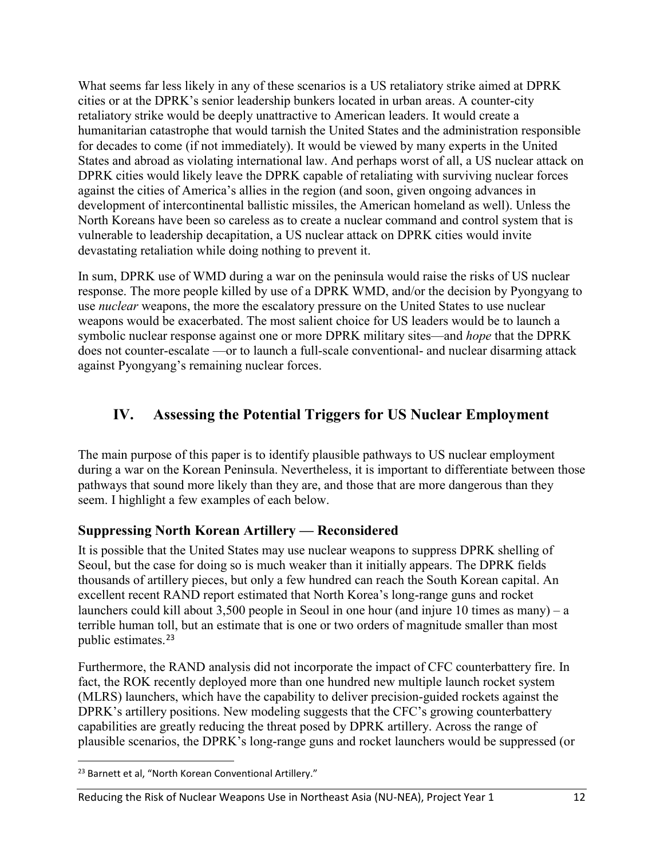What seems far less likely in any of these scenarios is a US retaliatory strike aimed at DPRK cities or at the DPRK's senior leadership bunkers located in urban areas. A counter-city retaliatory strike would be deeply unattractive to American leaders. It would create a humanitarian catastrophe that would tarnish the United States and the administration responsible for decades to come (if not immediately). It would be viewed by many experts in the United States and abroad as violating international law. And perhaps worst of all, a US nuclear attack on DPRK cities would likely leave the DPRK capable of retaliating with surviving nuclear forces against the cities of America's allies in the region (and soon, given ongoing advances in development of intercontinental ballistic missiles, the American homeland as well). Unless the North Koreans have been so careless as to create a nuclear command and control system that is vulnerable to leadership decapitation, a US nuclear attack on DPRK cities would invite devastating retaliation while doing nothing to prevent it.

In sum, DPRK use of WMD during a war on the peninsula would raise the risks of US nuclear response. The more people killed by use of a DPRK WMD, and/or the decision by Pyongyang to use *nuclear* weapons, the more the escalatory pressure on the United States to use nuclear weapons would be exacerbated. The most salient choice for US leaders would be to launch a symbolic nuclear response against one or more DPRK military sites—and *hope* that the DPRK does not counter-escalate —or to launch a full-scale conventional- and nuclear disarming attack against Pyongyang's remaining nuclear forces.

# **IV. Assessing the Potential Triggers for US Nuclear Employment**

The main purpose of this paper is to identify plausible pathways to US nuclear employment during a war on the Korean Peninsula. Nevertheless, it is important to differentiate between those pathways that sound more likely than they are, and those that are more dangerous than they seem. I highlight a few examples of each below.

#### **Suppressing North Korean Artillery — Reconsidered**

It is possible that the United States may use nuclear weapons to suppress DPRK shelling of Seoul, but the case for doing so is much weaker than it initially appears. The DPRK fields thousands of artillery pieces, but only a few hundred can reach the South Korean capital. An excellent recent RAND report estimated that North Korea's long-range guns and rocket launchers could kill about 3,500 people in Seoul in one hour (and injure 10 times as many) – a terrible human toll, but an estimate that is one or two orders of magnitude smaller than most public estimates.[23](#page-11-0)

Furthermore, the RAND analysis did not incorporate the impact of CFC counterbattery fire. In fact, the ROK recently deployed more than one hundred new multiple launch rocket system (MLRS) launchers, which have the capability to deliver precision-guided rockets against the DPRK's artillery positions. New modeling suggests that the CFC's growing counterbattery capabilities are greatly reducing the threat posed by DPRK artillery. Across the range of plausible scenarios, the DPRK's long-range guns and rocket launchers would be suppressed (or

#### Reducing the Risk of Nuclear Weapons Use in Northeast Asia (NU-NEA), Project Year 1 12

<span id="page-11-0"></span> $\overline{a}$ <sup>23</sup> Barnett et al, "North Korean Conventional Artillery."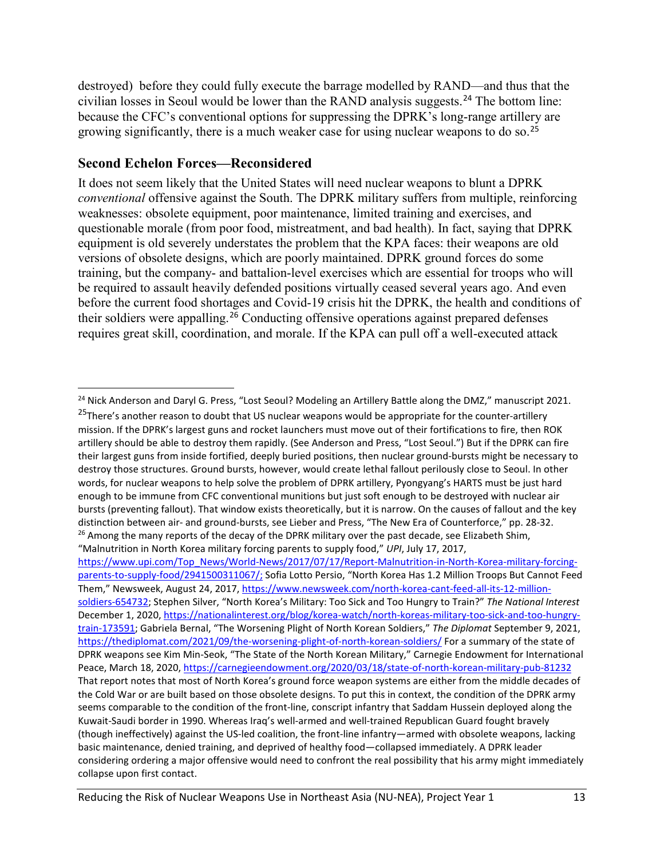destroyed) before they could fully execute the barrage modelled by RAND—and thus that the civilian losses in Seoul would be lower than the RAND analysis suggests.[24](#page-12-0) The bottom line: because the CFC's conventional options for suppressing the DPRK's long-range artillery are growing significantly, there is a much weaker case for using nuclear weapons to do so.[25](#page-12-1)

#### **Second Echelon Forces—Reconsidered**

It does not seem likely that the United States will need nuclear weapons to blunt a DPRK *conventional* offensive against the South. The DPRK military suffers from multiple, reinforcing weaknesses: obsolete equipment, poor maintenance, limited training and exercises, and questionable morale (from poor food, mistreatment, and bad health). In fact, saying that DPRK equipment is old severely understates the problem that the KPA faces: their weapons are old versions of obsolete designs, which are poorly maintained. DPRK ground forces do some training, but the company- and battalion-level exercises which are essential for troops who will be required to assault heavily defended positions virtually ceased several years ago. And even before the current food shortages and Covid-19 crisis hit the DPRK, the health and conditions of their soldiers were appalling. [26](#page-12-2) Conducting offensive operations against prepared defenses requires great skill, coordination, and morale. If the KPA can pull off a well-executed attack

<span id="page-12-2"></span>[https://www.upi.com/Top\\_News/World-News/2017/07/17/Report-Malnutrition-in-North-Korea-military-forcing](https://www.upi.com/Top_News/World-News/2017/07/17/Report-Malnutrition-in-North-Korea-military-forcing-parents-to-supply-food/2941500311067/?u3L=1)[parents-to-supply-food/2941500311067/;](https://www.upi.com/Top_News/World-News/2017/07/17/Report-Malnutrition-in-North-Korea-military-forcing-parents-to-supply-food/2941500311067/?u3L=1) Sofia Lotto Persio, "North Korea Has 1.2 Million Troops But Cannot Feed Them," Newsweek, August 24, 2017[, https://www.newsweek.com/north-korea-cant-feed-all-its-12-million](https://www.newsweek.com/north-korea-cant-feed-all-its-12-million-soldiers-654732)[soldiers-654732;](https://www.newsweek.com/north-korea-cant-feed-all-its-12-million-soldiers-654732) Stephen Silver, "North Korea's Military: Too Sick and Too Hungry to Train?" *The National Interest* December 1, 2020, [https://nationalinterest.org/blog/korea-watch/north-koreas-military-too-sick-and-too-hungry](https://nationalinterest.org/blog/korea-watch/north-koreas-military-too-sick-and-too-hungry-train-173591)[train-173591;](https://nationalinterest.org/blog/korea-watch/north-koreas-military-too-sick-and-too-hungry-train-173591) Gabriela Bernal, "The Worsening Plight of North Korean Soldiers," *The Diplomat* September 9, 2021, <https://thediplomat.com/2021/09/the-worsening-plight-of-north-korean-soldiers/> For a summary of the state of DPRK weapons see Kim Min-Seok, "The State of the North Korean Military," Carnegie Endowment for International Peace, March 18, 2020[, https://carnegieendowment.org/2020/03/18/state-of-north-korean-military-pub-81232](https://carnegieendowment.org/2020/03/18/state-of-north-korean-military-pub-81232) That report notes that most of North Korea's ground force weapon systems are either from the middle decades of the Cold War or are built based on those obsolete designs. To put this in context, the condition of the DPRK army seems comparable to the condition of the front-line, conscript infantry that Saddam Hussein deployed along the Kuwait-Saudi border in 1990. Whereas Iraq's well-armed and well-trained Republican Guard fought bravely (though ineffectively) against the US-led coalition, the front-line infantry—armed with obsolete weapons, lacking basic maintenance, denied training, and deprived of healthy food—collapsed immediately. A DPRK leader considering ordering a major offensive would need to confront the real possibility that his army might immediately collapse upon first contact.

<span id="page-12-0"></span> $\overline{a}$ <sup>24</sup> Nick Anderson and Daryl G. Press, "Lost Seoul? Modeling an Artillery Battle along the DMZ," manuscript 2021.

<span id="page-12-1"></span><sup>&</sup>lt;sup>25</sup>There's another reason to doubt that US nuclear weapons would be appropriate for the counter-artillery mission. If the DPRK's largest guns and rocket launchers must move out of their fortifications to fire, then ROK artillery should be able to destroy them rapidly. (See Anderson and Press, "Lost Seoul.") But if the DPRK can fire their largest guns from inside fortified, deeply buried positions, then nuclear ground-bursts might be necessary to destroy those structures. Ground bursts, however, would create lethal fallout perilously close to Seoul. In other words, for nuclear weapons to help solve the problem of DPRK artillery, Pyongyang's HARTS must be just hard enough to be immune from CFC conventional munitions but just soft enough to be destroyed with nuclear air bursts (preventing fallout). That window exists theoretically, but it is narrow. On the causes of fallout and the key distinction between air- and ground-bursts, see Lieber and Press, "The New Era of Counterforce," pp. 28-32.  $26$  Among the many reports of the decay of the DPRK military over the past decade, see Elizabeth Shim, "Malnutrition in North Korea military forcing parents to supply food," *UPI*, July 17, 2017,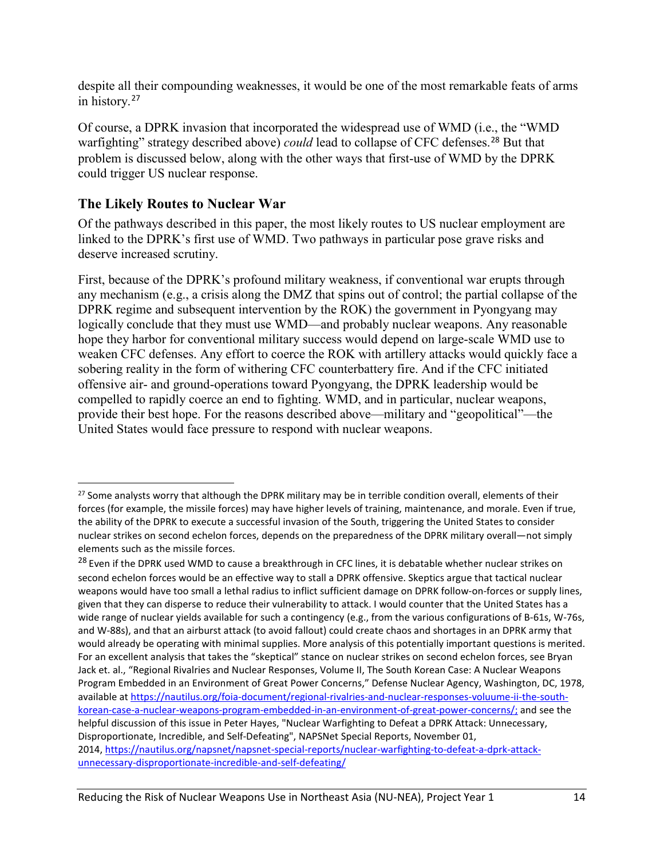despite all their compounding weaknesses, it would be one of the most remarkable feats of arms in history.[27](#page-13-0)

Of course, a DPRK invasion that incorporated the widespread use of WMD (i.e., the "WMD warfighting" strategy described above) *could* lead to collapse of CFC defenses.[28](#page-13-1) But that problem is discussed below, along with the other ways that first-use of WMD by the DPRK could trigger US nuclear response.

#### **The Likely Routes to Nuclear War**

 $\overline{a}$ 

Of the pathways described in this paper, the most likely routes to US nuclear employment are linked to the DPRK's first use of WMD. Two pathways in particular pose grave risks and deserve increased scrutiny.

First, because of the DPRK's profound military weakness, if conventional war erupts through any mechanism (e.g., a crisis along the DMZ that spins out of control; the partial collapse of the DPRK regime and subsequent intervention by the ROK) the government in Pyongyang may logically conclude that they must use WMD—and probably nuclear weapons. Any reasonable hope they harbor for conventional military success would depend on large-scale WMD use to weaken CFC defenses. Any effort to coerce the ROK with artillery attacks would quickly face a sobering reality in the form of withering CFC counterbattery fire. And if the CFC initiated offensive air- and ground-operations toward Pyongyang, the DPRK leadership would be compelled to rapidly coerce an end to fighting. WMD, and in particular, nuclear weapons, provide their best hope. For the reasons described above—military and "geopolitical"—the United States would face pressure to respond with nuclear weapons.

<span id="page-13-0"></span><sup>&</sup>lt;sup>27</sup> Some analysts worry that although the DPRK military may be in terrible condition overall, elements of their forces (for example, the missile forces) may have higher levels of training, maintenance, and morale. Even if true, the ability of the DPRK to execute a successful invasion of the South, triggering the United States to consider nuclear strikes on second echelon forces, depends on the preparedness of the DPRK military overall—not simply elements such as the missile forces.

<span id="page-13-1"></span><sup>&</sup>lt;sup>28</sup> Even if the DPRK used WMD to cause a breakthrough in CFC lines, it is debatable whether nuclear strikes on second echelon forces would be an effective way to stall a DPRK offensive. Skeptics argue that tactical nuclear weapons would have too small a lethal radius to inflict sufficient damage on DPRK follow-on-forces or supply lines, given that they can disperse to reduce their vulnerability to attack. I would counter that the United States has a wide range of nuclear yields available for such a contingency (e.g., from the various configurations of B-61s, W-76s, and W-88s), and that an airburst attack (to avoid fallout) could create chaos and shortages in an DPRK army that would already be operating with minimal supplies. More analysis of this potentially important questions is merited. For an excellent analysis that takes the "skeptical" stance on nuclear strikes on second echelon forces, see Bryan Jack et. al., "Regional Rivalries and Nuclear Responses, Volume II, The South Korean Case: A Nuclear Weapons Program Embedded in an Environment of Great Power Concerns," Defense Nuclear Agency, Washington, DC, 1978, available a[t https://nautilus.org/foia-document/regional-rivalries-and-nuclear-responses-voluume-ii-the-south](https://nautilus.org/foia-document/regional-rivalries-and-nuclear-responses-voluume-ii-the-south-korean-case-a-nuclear-weapons-program-embedded-in-an-environment-of-great-power-concerns/)[korean-case-a-nuclear-weapons-program-embedded-in-an-environment-of-great-power-concerns/;](https://nautilus.org/foia-document/regional-rivalries-and-nuclear-responses-voluume-ii-the-south-korean-case-a-nuclear-weapons-program-embedded-in-an-environment-of-great-power-concerns/) and see the helpful discussion of this issue in Peter Hayes, "Nuclear Warfighting to Defeat a DPRK Attack: Unnecessary, Disproportionate, Incredible, and Self-Defeating", NAPSNet Special Reports, November 01, 2014, [https://nautilus.org/napsnet/napsnet-special-reports/nuclear-warfighting-to-defeat-a-dprk-attack](https://nautilus.org/napsnet/napsnet-special-reports/nuclear-warfighting-to-defeat-a-dprk-attack-unnecessary-disproportionate-incredible-and-self-defeating/)[unnecessary-disproportionate-incredible-and-self-defeating/](https://nautilus.org/napsnet/napsnet-special-reports/nuclear-warfighting-to-defeat-a-dprk-attack-unnecessary-disproportionate-incredible-and-self-defeating/)